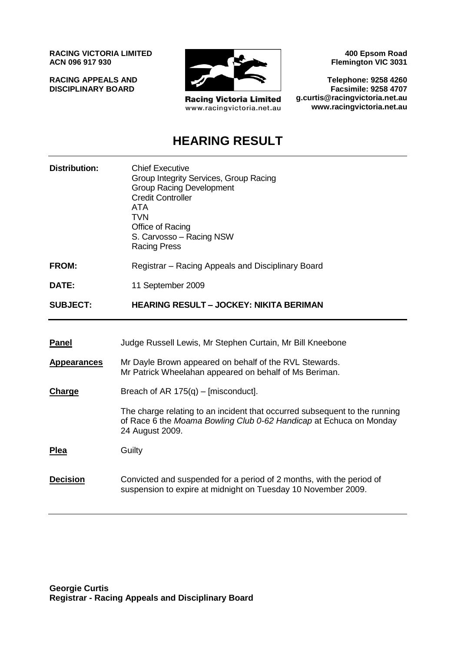**RACING VICTORIA LIMITED ACN 096 917 930**

**RACING APPEALS AND DISCIPLINARY BOARD**



**Racing Victoria Limited** www.racingvictoria.net.au

**400 Epsom Road Flemington VIC 3031**

**Telephone: 9258 4260 Facsimile: 9258 4707 g.curtis@racingvictoria.net.au www.racingvictoria.net.au**

# **HEARING RESULT**

| <b>Distribution:</b> | <b>Chief Executive</b><br>Group Integrity Services, Group Racing<br><b>Group Racing Development</b><br><b>Credit Controller</b><br><b>ATA</b><br><b>TVN</b><br>Office of Racing<br>S. Carvosso - Racing NSW<br><b>Racing Press</b> |
|----------------------|------------------------------------------------------------------------------------------------------------------------------------------------------------------------------------------------------------------------------------|
| <b>FROM:</b>         | Registrar - Racing Appeals and Disciplinary Board                                                                                                                                                                                  |
| DATE:                | 11 September 2009                                                                                                                                                                                                                  |
| <b>SUBJECT:</b>      | <b>HEARING RESULT - JOCKEY: NIKITA BERIMAN</b>                                                                                                                                                                                     |
|                      |                                                                                                                                                                                                                                    |
| <u>Panel</u>         | Judge Russell Lewis, Mr Stephen Curtain, Mr Bill Kneebone                                                                                                                                                                          |
| <b>Appearances</b>   | Mr Dayle Brown appeared on behalf of the RVL Stewards.<br>Mr Patrick Wheelahan appeared on behalf of Ms Beriman.                                                                                                                   |
| Charge               | Breach of AR $175(q)$ – [misconduct].                                                                                                                                                                                              |
|                      | The charge relating to an incident that occurred subsequent to the running<br>of Race 6 the Moama Bowling Club 0-62 Handicap at Echuca on Monday<br>24 August 2009.                                                                |
| <b>Plea</b>          | Guilty                                                                                                                                                                                                                             |
| <b>Decision</b>      | Convicted and suspended for a period of 2 months, with the period of<br>suspension to expire at midnight on Tuesday 10 November 2009.                                                                                              |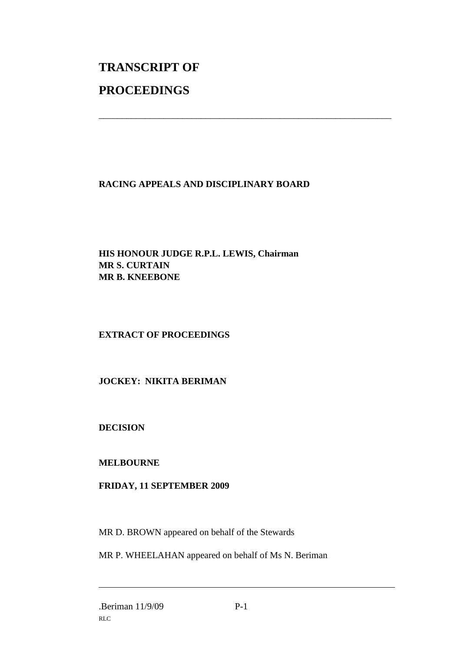# **TRANSCRIPT OF PROCEEDINGS**

### **RACING APPEALS AND DISCIPLINARY BOARD**

\_\_\_\_\_\_\_\_\_\_\_\_\_\_\_\_\_\_\_\_\_\_\_\_\_\_\_\_\_\_\_\_\_\_\_\_\_\_\_\_\_\_\_\_\_\_\_\_\_\_\_\_\_\_\_\_\_\_\_\_\_\_\_

#### **HIS HONOUR JUDGE R.P.L. LEWIS, Chairman MR S. CURTAIN MR B. KNEEBONE**

## **EXTRACT OF PROCEEDINGS**

#### **JOCKEY: NIKITA BERIMAN**

#### **DECISION**

#### **MELBOURNE**

#### **FRIDAY, 11 SEPTEMBER 2009**

MR D. BROWN appeared on behalf of the Stewards

MR P. WHEELAHAN appeared on behalf of Ms N. Beriman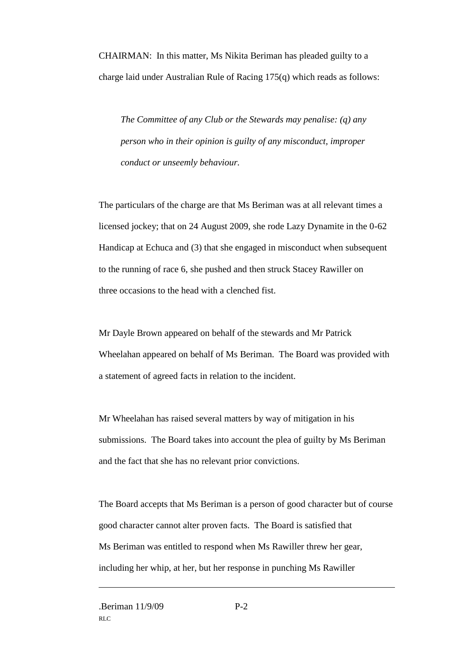CHAIRMAN: In this matter, Ms Nikita Beriman has pleaded guilty to a charge laid under Australian Rule of Racing 175(q) which reads as follows:

*The Committee of any Club or the Stewards may penalise: (q) any person who in their opinion is guilty of any misconduct, improper conduct or unseemly behaviour.*

The particulars of the charge are that Ms Beriman was at all relevant times a licensed jockey; that on 24 August 2009, she rode Lazy Dynamite in the 0-62 Handicap at Echuca and (3) that she engaged in misconduct when subsequent to the running of race 6, she pushed and then struck Stacey Rawiller on three occasions to the head with a clenched fist.

Mr Dayle Brown appeared on behalf of the stewards and Mr Patrick Wheelahan appeared on behalf of Ms Beriman. The Board was provided with a statement of agreed facts in relation to the incident.

Mr Wheelahan has raised several matters by way of mitigation in his submissions. The Board takes into account the plea of guilty by Ms Beriman and the fact that she has no relevant prior convictions.

The Board accepts that Ms Beriman is a person of good character but of course good character cannot alter proven facts. The Board is satisfied that Ms Beriman was entitled to respond when Ms Rawiller threw her gear, including her whip, at her, but her response in punching Ms Rawiller